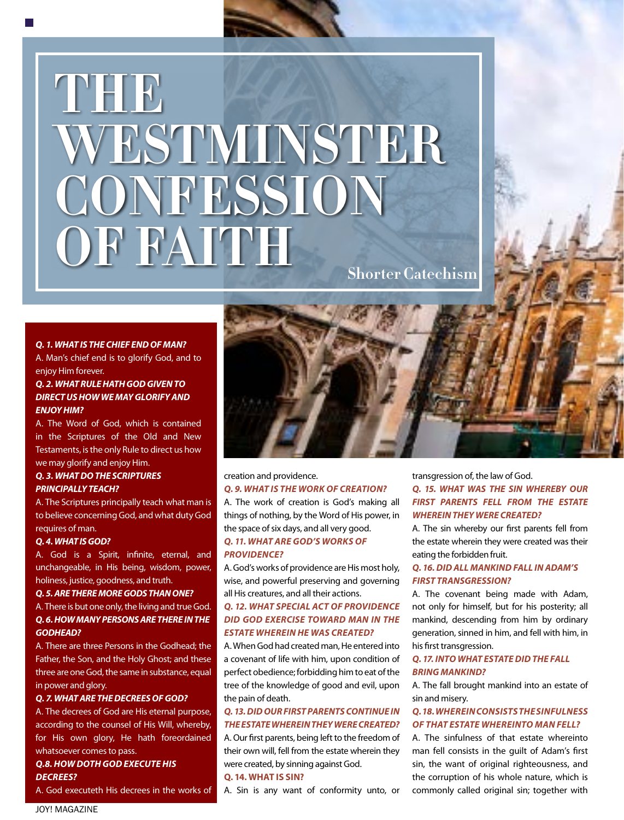# **Shorter Catechism THE WESTMINSTER CONFESSION OF FAITH**

#### *Q. 1. WHAT IS THE CHIEF END OF MAN?*

A. Man's chief end is to glorify God, and to enjoy Him forever.

# *Q. 2. WHAT RULE HATH GOD GIVEN TO DIRECT US HOW WE MAY GLORIFY AND ENJOY HIM?*

A. The Word of God, which is contained in the Scriptures of the Old and New Testaments, is the only Rule to direct us how we may glorify and enjoy Him.

# *Q. 3. WHAT DO THE SCRIPTURES PRINCIPALLY TEACH?*

A. The Scriptures principally teach what man is to believe concerning God, and what duty God requires of man.

#### *Q. 4. WHAT IS GOD?*

A. God is a Spirit, infinite, eternal, and unchangeable, in His being, wisdom, power, holiness, justice, goodness, and truth.

#### *Q. 5. ARE THERE MORE GODS THAN ONE?*

A. There is but one only, the living and true God. *Q. 6. HOW MANY PERSONS ARE THERE IN THE GODHEAD?*

A. There are three Persons in the Godhead; the Father, the Son, and the Holy Ghost; and these three are one God, the same in substance, equal in power and glory.

#### *Q. 7. WHAT ARE THE DECREES OF GOD?*

A. The decrees of God are His eternal purpose, according to the counsel of His Will, whereby, for His own glory, He hath foreordained whatsoever comes to pass.

#### *Q.8. HOW DOTH GOD EXECUTE HIS DECREES?*

A. God executeth His decrees in the works of



# creation and providence.

*Q. 9. WHAT IS THE WORK OF CREATION?* A. The work of creation is God's making all

things of nothing, by the Word of His power, in the space of six days, and all very good. *Q. 11. WHAT ARE GOD'S WORKS OF PROVIDENCE?*

A. God's works of providence are His most holy, wise, and powerful preserving and governing all His creatures, and all their actions.

#### *Q. 12. WHAT SPECIAL ACT OF PROVIDENCE DID GOD EXERCISE TOWARD MAN IN THE ESTATE WHEREIN HE WAS CREATED?*

A. When God had created man, He entered into a covenant of life with him, upon condition of perfect obedience; forbidding him to eat of the tree of the knowledge of good and evil, upon the pain of death.

# *Q. 13. DID OUR FIRST PARENTS CONTINUE IN THE ESTATE WHEREIN THEY WERE CREATED?*

A. Our first parents, being left to the freedom of their own will, fell from the estate wherein they were created, by sinning against God.

#### **Q. 14. WHAT IS SIN?** A. Sin is any want of conformity unto, or

transgression of, the law of God. *Q. 15. WHAT WAS THE SIN WHEREBY OUR FIRST PARENTS FELL FROM THE ESTATE WHEREIN THEY WERE CREATED?*

A. The sin whereby our first parents fell from the estate wherein they were created was their eating the forbidden fruit.

#### *Q. 16. DID ALL MANKIND FALL IN ADAM'S FIRST TRANSGRESSION?*

A. The covenant being made with Adam, not only for himself, but for his posterity; all mankind, descending from him by ordinary generation, sinned in him, and fell with him, in his first transgression.

#### *Q. 17. INTO WHAT ESTATE DID THE FALL BRING MANKIND?*

A. The fall brought mankind into an estate of sin and misery.

#### *Q. 18. WHEREIN CONSISTS THE SINFULNESS OF THAT ESTATE WHEREINTO MAN FELL?*

A. The sinfulness of that estate whereinto man fell consists in the guilt of Adam's first sin, the want of original righteousness, and the corruption of his whole nature, which is commonly called original sin; together with

JOY! MAGAZINE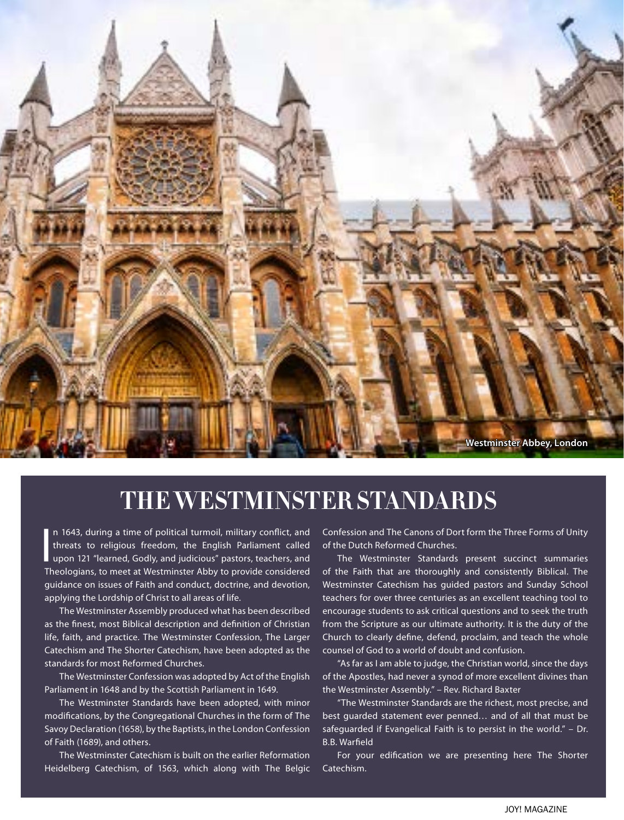

# **THE WESTMINSTER STANDARDS**

n 1643, during a time of political turmoil, military conflict, and<br>threats to religious freedom, the English Parliament called<br>upon 121 "learned, Godly, and judicious" pastors, teachers, and<br>Theologians to meet at Westmins n 1643, during a time of political turmoil, military conflict, and threats to religious freedom, the English Parliament called Theologians, to meet at Westminster Abby to provide considered guidance on issues of Faith and conduct, doctrine, and devotion, applying the Lordship of Christ to all areas of life.

The Westminster Assembly produced what has been described as the finest, most Biblical description and definition of Christian life, faith, and practice. The Westminster Confession, The Larger Catechism and The Shorter Catechism, have been adopted as the standards for most Reformed Churches.

The Westminster Confession was adopted by Act of the English Parliament in 1648 and by the Scottish Parliament in 1649.

The Westminster Standards have been adopted, with minor modifications, by the Congregational Churches in the form of The Savoy Declaration (1658), by the Baptists, in the London Confession of Faith (1689), and others.

The Westminster Catechism is built on the earlier Reformation Heidelberg Catechism, of 1563, which along with The Belgic

Confession and The Canons of Dort form the Three Forms of Unity of the Dutch Reformed Churches.

The Westminster Standards present succinct summaries of the Faith that are thoroughly and consistently Biblical. The Westminster Catechism has guided pastors and Sunday School teachers for over three centuries as an excellent teaching tool to encourage students to ask critical questions and to seek the truth from the Scripture as our ultimate authority. It is the duty of the Church to clearly define, defend, proclaim, and teach the whole counsel of God to a world of doubt and confusion.

"As far as I am able to judge, the Christian world, since the days of the Apostles, had never a synod of more excellent divines than the Westminster Assembly." – Rev. Richard Baxter

"The Westminster Standards are the richest, most precise, and best guarded statement ever penned… and of all that must be safeguarded if Evangelical Faith is to persist in the world." – Dr. B.B. Warfield

For your edification we are presenting here The Shorter Catechism.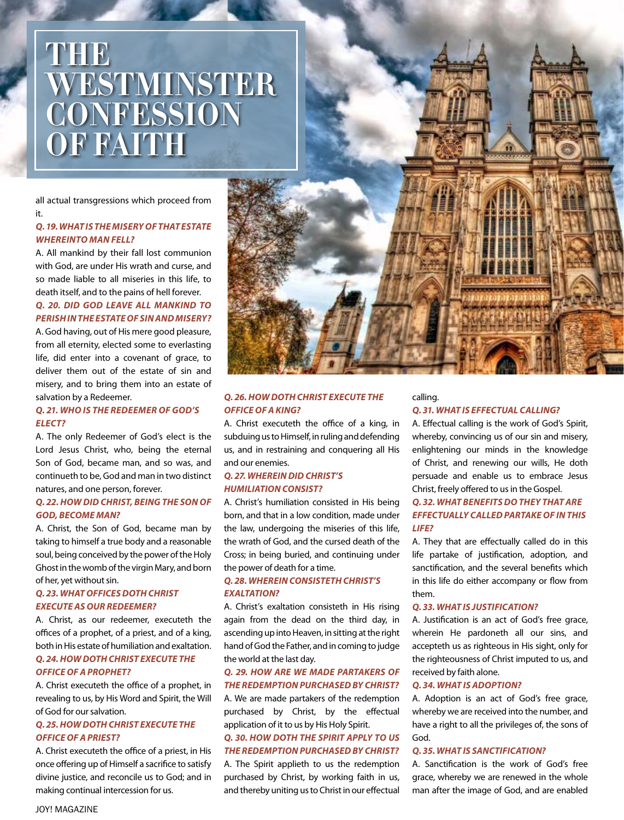# **THE WESTMINSTER CONFESSION OF FAITH**

all actual transgressions which proceed from it.

#### *Q. 19. WHAT IS THE MISERY OF THAT ESTATE WHEREINTO MAN FELL?*

A. All mankind by their fall lost communion with God, are under His wrath and curse, and so made liable to all miseries in this life, to death itself, and to the pains of hell forever.

#### *Q. 20. DID GOD LEAVE ALL MANKIND TO PERISH IN THE ESTATE OF SIN AND MISERY?*

A. God having, out of His mere good pleasure, from all eternity, elected some to everlasting life, did enter into a covenant of grace, to deliver them out of the estate of sin and misery, and to bring them into an estate of salvation by a Redeemer.

#### *Q. 21. WHO IS THE REDEEMER OF GOD'S ELECT?*

A. The only Redeemer of God's elect is the Lord Jesus Christ, who, being the eternal Son of God, became man, and so was, and continueth to be, God and man in two distinct natures, and one person, forever.

#### *Q. 22. HOW DID CHRIST, BEING THE SON OF GOD, BECOME MAN?*

A. Christ, the Son of God, became man by taking to himself a true body and a reasonable soul, being conceived by the power of the Holy Ghost in the womb of the virgin Mary, and born of her, yet without sin.

#### *Q. 23. WHAT OFFICES DOTH CHRIST EXECUTE AS OUR REDEEMER?*

A. Christ, as our redeemer, executeth the offices of a prophet, of a priest, and of a king, both in His estate of humiliation and exaltation. *Q. 24. HOW DOTH CHRIST EXECUTE THE* 

### *OFFICE OF A PROPHET?*

A. Christ executeth the office of a prophet, in revealing to us, by His Word and Spirit, the Will of God for our salvation.

#### *Q. 25. HOW DOTH CHRIST EXECUTE THE OFFICE OF A PRIEST?*

A. Christ executeth the office of a priest, in His once offering up of Himself a sacrifice to satisfy divine justice, and reconcile us to God; and in making continual intercession for us.



#### *Q. 26. HOW DOTH CHRIST EXECUTE THE OFFICE OF A KING?*

A. Christ executeth the office of a king, in subduing us to Himself, in ruling and defending us, and in restraining and conquering all His and our enemies.

### *Q. 27. WHEREIN DID CHRIST'S HUMILIATION CONSIST?*

A. Christ's humiliation consisted in His being born, and that in a low condition, made under the law, undergoing the miseries of this life, the wrath of God, and the cursed death of the Cross; in being buried, and continuing under the power of death for a time.

#### *Q. 28. WHEREIN CONSISTETH CHRIST'S EXALTATION?*

A. Christ's exaltation consisteth in His rising again from the dead on the third day, in ascending up into Heaven, in sitting at the right hand of God the Father, and in coming to judge the world at the last day.

#### *Q. 29. HOW ARE WE MADE PARTAKERS OF THE REDEMPTION PURCHASED BY CHRIST?*

A. We are made partakers of the redemption purchased by Christ, by the effectual application of it to us by His Holy Spirit.

#### *Q. 30. HOW DOTH THE SPIRIT APPLY TO US THE REDEMPTION PURCHASED BY CHRIST?*

A. The Spirit applieth to us the redemption purchased by Christ, by working faith in us, and thereby uniting us to Christ in our effectual

#### calling.

#### *Q. 31. WHAT IS EFFECTUAL CALLING?*

A. Effectual calling is the work of God's Spirit, whereby, convincing us of our sin and misery, enlightening our minds in the knowledge of Christ, and renewing our wills, He doth persuade and enable us to embrace Jesus Christ, freely offered to us in the Gospel.

# *Q. 32. WHAT BENEFITS DO THEY THAT ARE EFFECTUALLY CALLED PARTAKE OF IN THIS LIFE?*

A. They that are effectually called do in this life partake of justification, adoption, and sanctification, and the several benefits which in this life do either accompany or flow from them.

#### *Q. 33. WHAT IS JUSTIFICATION?*

A. Justification is an act of God's free grace, wherein He pardoneth all our sins, and accepteth us as righteous in His sight, only for the righteousness of Christ imputed to us, and received by faith alone.

#### *Q. 34. WHAT IS ADOPTION?*

A. Adoption is an act of God's free grace, whereby we are received into the number, and have a right to all the privileges of, the sons of God.

#### *Q. 35. WHAT IS SANCTIFICATION?*

A. Sanctification is the work of God's free grace, whereby we are renewed in the whole man after the image of God, and are enabled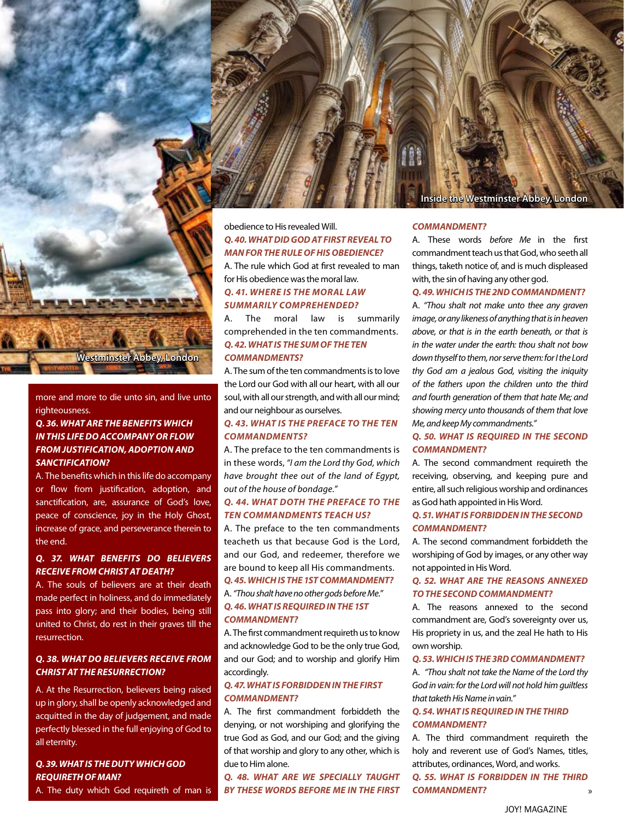

more and more to die unto sin, and live unto righteousness.

#### *Q. 36. WHAT ARE THE BENEFITS WHICH IN THIS LIFE DO ACCOMPANY OR FLOW FROM JUSTIFICATION, ADOPTION AND SANCTIFICATION?*

A. The benefits which in this life do accompany or flow from justification, adoption, and sanctification, are, assurance of God's love, peace of conscience, joy in the Holy Ghost, increase of grace, and perseverance therein to the end.

# *Q. 37. WHAT BENEFITS DO BELIEVERS RECEIVE FROM CHRIST AT DEATH?*

A. The souls of believers are at their death made perfect in holiness, and do immediately pass into glory; and their bodies, being still united to Christ, do rest in their graves till the resurrection.

### *Q. 38. WHAT DO BELIEVERS RECEIVE FROM CHRIST AT THE RESURRECTION?*

A. At the Resurrection, believers being raised up in glory, shall be openly acknowledged and acquitted in the day of judgement, and made perfectly blessed in the full enjoying of God to all eternity.

### *Q. 39. WHAT IS THE DUTY WHICH GOD REQUIRETH OF MAN?*

A. The duty which God requireth of man is



A. The rule which God at first revealed to man for His obedience was the moral law. *Q. 41. WHERE IS THE MORAL LAW* 

# *SUMMARILY COMPREHENDED?*

A. The moral law is summarily comprehended in the ten commandments. *Q. 42. WHAT IS THE SUM OF THE TEN COMMANDMENTS?*

A. The sum of the ten commandments is to love the Lord our God with all our heart, with all our soul, with all our strength, and with all our mind; and our neighbour as ourselves.

## *Q. 43. WHAT IS THE PREFACE TO THE TEN COMMANDMENTS?*

A. The preface to the ten commandments is in these words, *"I am the Lord thy God, which have brought thee out of the land of Egypt, out of the house of bondage."*

#### *Q. 44. WHAT DOTH THE PREFACE TO THE TEN COMMANDMENTS TEACH US?*

A. The preface to the ten commandments teacheth us that because God is the Lord, and our God, and redeemer, therefore we are bound to keep all His commandments. *Q. 45. WHICH IS THE 1ST COMMANDMENT?*

#### A. *"Thou shalt have no other gods before Me." Q. 46. WHAT IS REQUIRED IN THE 1ST COMMANDMENT?*

A. The first commandment requireth us to know and acknowledge God to be the only true God, and our God; and to worship and glorify Him accordingly.

#### *Q. 47. WHAT IS FORBIDDEN IN THE FIRST COMMANDMENT?*

A. The first commandment forbiddeth the denying, or not worshiping and glorifying the true God as God, and our God; and the giving of that worship and glory to any other, which is due to Him alone.

*Q. 48. WHAT ARE WE SPECIALLY TAUGHT BY THESE WORDS BEFORE ME IN THE FIRST* 

## **Westminster Abbey, London**

#### *COMMANDMENT?*

A. These words *before Me* in the first commandment teach us that God, who seeth all things, taketh notice of, and is much displeased with, the sin of having any other god.

# *Q. 49. WHICH IS THE 2ND COMMANDMENT?*

A. *"Thou shalt not make unto thee any graven image, or any likeness of anything that is in heaven above, or that is in the earth beneath, or that is in the water under the earth: thou shalt not bow down thyself to them, nor serve them: for I the Lord thy God am a jealous God, visiting the iniquity of the fathers upon the children unto the third and fourth generation of them that hate Me; and showing mercy unto thousands of them that love Me, and keep My commandments."*

### *Q. 50. WHAT IS REQUIRED IN THE SECOND COMMANDMENT?*

A. The second commandment requireth the receiving, observing, and keeping pure and entire, all such religious worship and ordinances as God hath appointed in His Word.

#### *Q. 51. WHAT IS FORBIDDEN IN THE SECOND COMMANDMENT?*

A. The second commandment forbiddeth the worshiping of God by images, or any other way not appointed in His Word.

#### *Q. 52. WHAT ARE THE REASONS ANNEXED TO THE SECOND COMMANDMENT?*

A. The reasons annexed to the second commandment are, God's sovereignty over us, His propriety in us, and the zeal He hath to His own worship.

#### *Q. 53. WHICH IS THE 3RD COMMANDMENT?*

A. *"Thou shalt not take the Name of the Lord thy God in vain: for the Lord will not hold him guiltless that taketh His Name in vain."*

#### *Q. 54. WHAT IS REQUIRED IN THE THIRD COMMANDMENT?*

A. The third commandment requireth the holy and reverent use of God's Names, titles, attributes, ordinances, Word, and works.

» *Q. 55. WHAT IS FORBIDDEN IN THE THIRD COMMANDMENT?*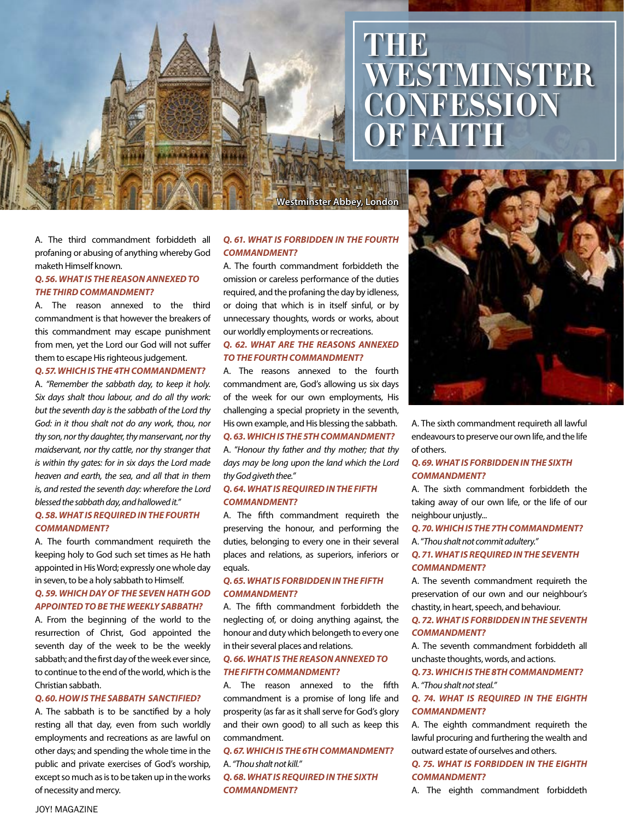# **THE WESTMINSTER CONFESSION OF FAITH**

A. The third commandment forbiddeth all profaning or abusing of anything whereby God maketh Himself known.

#### *Q. 56. WHAT IS THE REASON ANNEXED TO THE THIRD COMMANDMENT?*

A. The reason annexed to the third commandment is that however the breakers of this commandment may escape punishment from men, yet the Lord our God will not suffer them to escape His righteous judgement.

#### *Q. 57. WHICH IS THE 4TH COMMANDMENT?*

A. *"Remember the sabbath day, to keep it holy. Six days shalt thou labour, and do all thy work: but the seventh day is the sabbath of the Lord thy God: in it thou shalt not do any work, thou, nor thy son, nor thy daughter, thy manservant, nor thy maidservant, nor thy cattle, nor thy stranger that is within thy gates: for in six days the Lord made heaven and earth, the sea, and all that in them is, and rested the seventh day: wherefore the Lord blessed the sabbath day, and hallowed it."*

#### *Q. 58. WHAT IS REQUIRED IN THE FOURTH COMMANDMENT?*

A. The fourth commandment requireth the keeping holy to God such set times as He hath appointed in His Word; expressly one whole day in seven, to be a holy sabbath to Himself.

#### *Q. 59. WHICH DAY OF THE SEVEN HATH GOD APPOINTED TO BE THE WEEKLY SABBATH?*

A. From the beginning of the world to the resurrection of Christ, God appointed the seventh day of the week to be the weekly sabbath; and the first day of the week ever since, to continue to the end of the world, which is the Christian sabbath.

#### *Q. 60. HOW IS THE SABBATH SANCTIFIED?*

A. The sabbath is to be sanctified by a holy resting all that day, even from such worldly employments and recreations as are lawful on other days; and spending the whole time in the public and private exercises of God's worship, except so much as is to be taken up in the works of necessity and mercy.

#### *Q. 61. WHAT IS FORBIDDEN IN THE FOURTH COMMANDMENT?*

A. The fourth commandment forbiddeth the omission or careless performance of the duties required, and the profaning the day by idleness, or doing that which is in itself sinful, or by unnecessary thoughts, words or works, about our worldly employments or recreations.

#### *Q. 62. WHAT ARE THE REASONS ANNEXED TO THE FOURTH COMMANDMENT?*

A. The reasons annexed to the fourth commandment are, God's allowing us six days of the week for our own employments, His challenging a special propriety in the seventh, His own example, and His blessing the sabbath.

# *Q. 63. WHICH IS THE 5TH COMMANDMENT?*

A. "*Honour thy father and thy mother; that thy days may be long upon the land which the Lord thy God giveth thee."*

#### *Q. 64. WHAT IS REQUIRED IN THE FIFTH COMMANDMENT?*

A. The fifth commandment requireth the preserving the honour, and performing the duties, belonging to every one in their several places and relations, as superiors, inferiors or equals.

# *Q. 65. WHAT IS FORBIDDEN IN THE FIFTH COMMANDMENT?*

A. The fifth commandment forbiddeth the neglecting of, or doing anything against, the honour and duty which belongeth to every one in their several places and relations.

#### *Q. 66. WHAT IS THE REASON ANNEXED TO THE FIFTH COMMANDMENT?*

A. The reason annexed to the fifth commandment is a promise of long life and prosperity (as far as it shall serve for God's glory and their own good) to all such as keep this commandment.

# *Q. 67. WHICH IS THE 6TH COMMANDMENT?* A. *"Thou shalt not kill."*

*Q. 68. WHAT IS REQUIRED IN THE SIXTH COMMANDMENT?*



A. The sixth commandment requireth all lawful endeavours to preserve our own life, and the life of others.

#### *Q. 69. WHAT IS FORBIDDEN IN THE SIXTH COMMANDMENT?*

A. The sixth commandment forbiddeth the taking away of our own life, or the life of our neighbour unjustly...

#### *Q. 70. WHICH IS THE 7TH COMMANDMENT?*

A. "*Thou shalt not commit adultery."*

#### *Q. 71. WHAT IS REQUIRED IN THE SEVENTH COMMANDMENT?*

A. The seventh commandment requireth the preservation of our own and our neighbour's chastity, in heart, speech, and behaviour.

#### *Q. 72. WHAT IS FORBIDDEN IN THE SEVENTH COMMANDMENT?*

A. The seventh commandment forbiddeth all unchaste thoughts, words, and actions.

*Q. 73. WHICH IS THE 8TH COMMANDMENT?* A. *"Thou shalt not steal."*

#### *Q. 74. WHAT IS REQUIRED IN THE EIGHTH COMMANDMENT?*

A. The eighth commandment requireth the lawful procuring and furthering the wealth and outward estate of ourselves and others.

*Q. 75. WHAT IS FORBIDDEN IN THE EIGHTH COMMANDMENT?*

A. The eighth commandment forbiddeth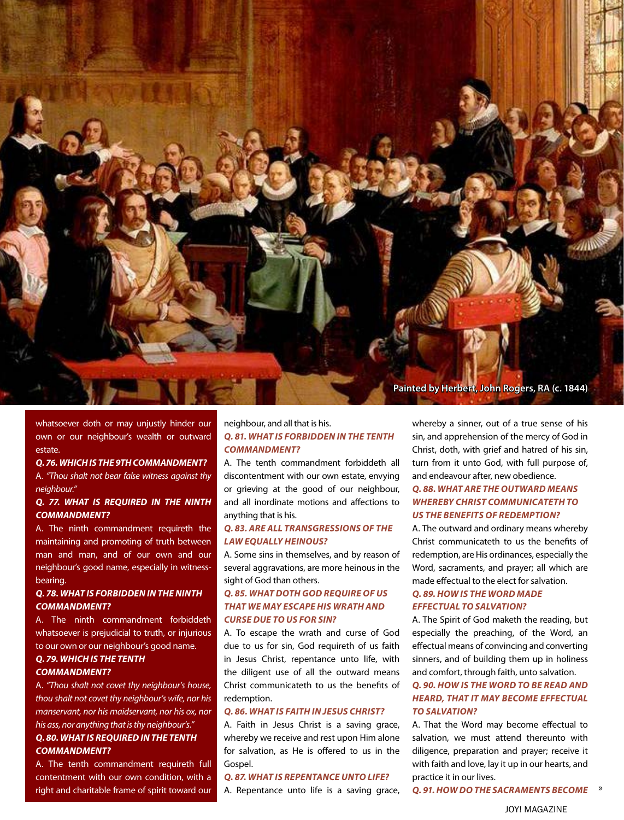

whatsoever doth or may unjustly hinder our own or our neighbour's wealth or outward estate.

#### *Q. 76. WHICH IS THE 9TH COMMANDMENT?*

A. *"Thou shalt not bear false witness against thy neighbour."*

#### *Q. 77. WHAT IS REQUIRED IN THE NINTH COMMANDMENT?*

A. The ninth commandment requireth the maintaining and promoting of truth between man and man, and of our own and our neighbour's good name, especially in witnessbearing.

#### *Q. 78. WHAT IS FORBIDDEN IN THE NINTH COMMANDMENT?*

A. The ninth commandment forbiddeth whatsoever is prejudicial to truth, or injurious to our own or our neighbour's good name.

#### *Q. 79. WHICH IS THE TENTH COMMANDMENT?*

A. *"Thou shalt not covet thy neighbour's house, thou shalt not covet thy neighbour's wife, nor his manservant, nor his maidservant, nor his ox, nor his ass, nor anything that is thy neighbour's." Q. 80. WHAT IS REQUIRED IN THE TENTH* 

# *COMMANDMENT?*

A. The tenth commandment requireth full contentment with our own condition, with a right and charitable frame of spirit toward our

# neighbour, and all that is his. *Q. 81. WHAT IS FORBIDDEN IN THE TENTH COMMANDMENT?*

A. The tenth commandment forbiddeth all discontentment with our own estate, envying or grieving at the good of our neighbour, and all inordinate motions and affections to anything that is his.

#### *Q. 83. ARE ALL TRANSGRESSIONS OF THE LAW EQUALLY HEINOUS?*

A. Some sins in themselves, and by reason of several aggravations, are more heinous in the sight of God than others.

### *Q. 85. WHAT DOTH GOD REQUIRE OF US THAT WE MAY ESCAPE HIS WRATH AND CURSE DUE TO US FOR SIN?*

A. To escape the wrath and curse of God due to us for sin, God requireth of us faith in Jesus Christ, repentance unto life, with the diligent use of all the outward means Christ communicateth to us the benefits of redemption.

### *Q. 86. WHAT IS FAITH IN JESUS CHRIST?*

A. Faith in Jesus Christ is a saving grace, whereby we receive and rest upon Him alone for salvation, as He is offered to us in the Gospel.

#### *Q. 87. WHAT IS REPENTANCE UNTO LIFE?*

A. Repentance unto life is a saving grace,

whereby a sinner, out of a true sense of his sin, and apprehension of the mercy of God in Christ, doth, with grief and hatred of his sin, turn from it unto God, with full purpose of, and endeavour after, new obedience.

## *Q. 88. WHAT ARE THE OUTWARD MEANS WHEREBY CHRIST COMMUNICATETH TO US THE BENEFITS OF REDEMPTION?*

A. The outward and ordinary means whereby Christ communicateth to us the benefits of redemption, are His ordinances, especially the Word, sacraments, and prayer; all which are made effectual to the elect for salvation.

#### *Q. 89. HOW IS THE WORD MADE EFFECTUAL TO SALVATION?*

A. The Spirit of God maketh the reading, but especially the preaching, of the Word, an effectual means of convincing and converting sinners, and of building them up in holiness and comfort, through faith, unto salvation.

#### *Q. 90. HOW IS THE WORD TO BE READ AND HEARD, THAT IT MAY BECOME EFFECTUAL TO SALVATION?*

A. That the Word may become effectual to salvation, we must attend thereunto with diligence, preparation and prayer; receive it with faith and love, lay it up in our hearts, and practice it in our lives.

» *Q. 91. HOW DO THE SACRAMENTS BECOME*